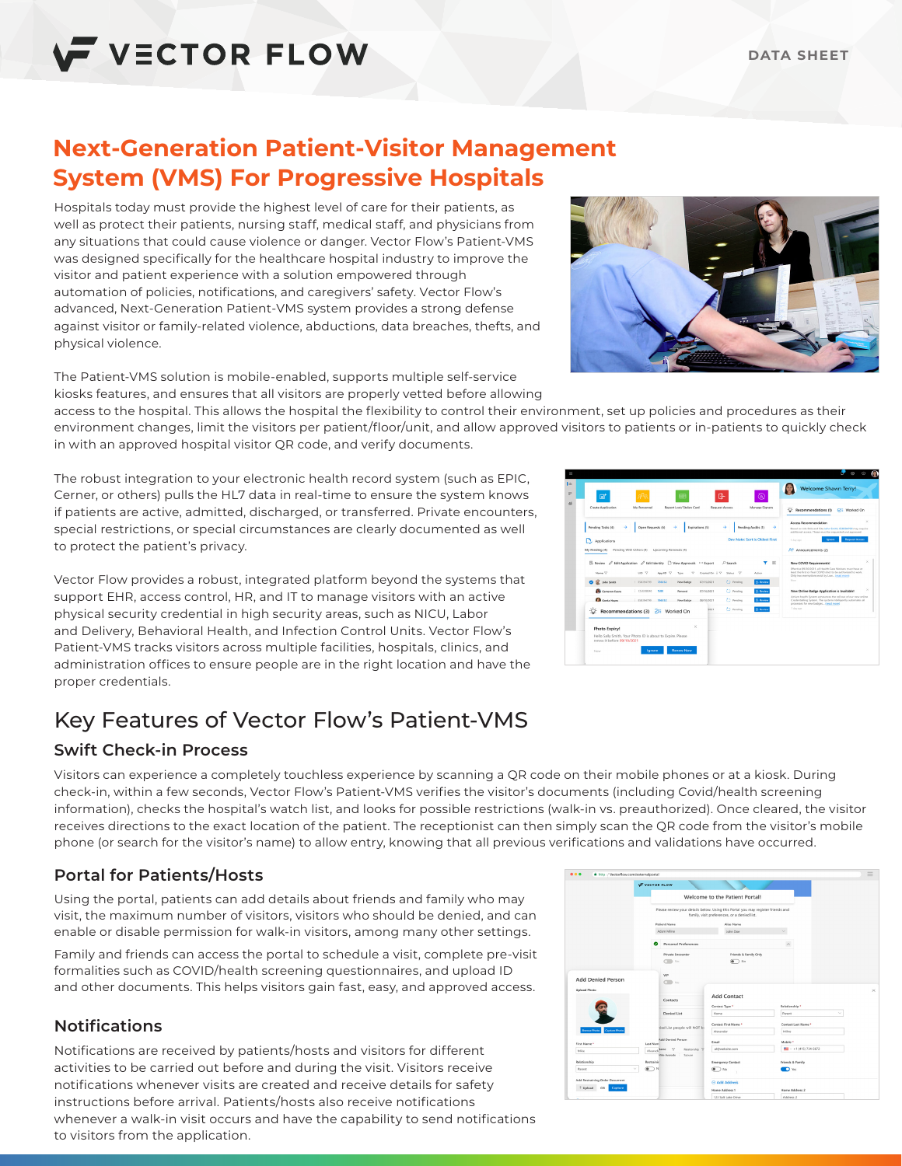# **Next-Generation Patient-Visitor Management System (VMS) For Progressive Hospitals**

Hospitals today must provide the highest level of care for their patients, as well as protect their patients, nursing staff, medical staff, and physicians from any situations that could cause violence or danger. Vector Flow's Patient-VMS was designed specifically for the healthcare hospital industry to improve the visitor and patient experience with a solution empowered through automation of policies, notifications, and caregivers' safety. Vector Flow's advanced, Next-Generation Patient-VMS system provides a strong defense against visitor or family-related violence, abductions, data breaches, thefts, and physical violence.

The Patient-VMS solution is mobile-enabled, supports multiple self-service kiosks features, and ensures that all visitors are properly vetted before allowing

access to the hospital. This allows the hospital the flexibility to control their environment, set up policies and procedures as their environment changes, limit the visitors per patient/floor/unit, and allow approved visitors to patients or in-patients to quickly check in with an approved hospital visitor QR code, and verify documents.

The robust integration to your electronic health record system (such as EPIC, Cerner, or others) pulls the HL7 data in real-time to ensure the system knows if patients are active, admitted, discharged, or transferred. Private encounters, special restrictions, or special circumstances are clearly documented as well to protect the patient's privacy.

Vector Flow provides a robust, integrated platform beyond the systems that support EHR, access control, HR, and IT to manage visitors with an active physical security credential in high security areas, such as NICU, Labor and Delivery, Behavioral Health, and Infection Control Units. Vector Flow's Patient-VMS tracks visitors across multiple facilities, hospitals, clinics, and administration offices to ensure people are in the right location and have the proper credentials.

# Key Features of Vector Flow's Patient-VMS

# **Swift Check-in Process**

Visitors can experience a completely touchless experience by scanning a QR code on their mobile phones or at a kiosk. During check-in, within a few seconds, Vector Flow's Patient-VMS verifies the visitor's documents (including Covid/health screening information), checks the hospital's watch list, and looks for possible restrictions (walk-in vs. preauthorized). Once cleared, the visitor receives directions to the exact location of the patient. The receptionist can then simply scan the QR code from the visitor's mobile phone (or search for the visitor's name) to allow entry, knowing that all previous verifications and validations have occurred.

## **Portal for Patients/Hosts**

Using the portal, patients can add details about friends and family who may visit, the maximum number of visitors, visitors who should be denied, and can enable or disable permission for walk-in visitors, among many other settings.

Family and friends can access the portal to schedule a visit, complete pre-visit formalities such as COVID/health screening questionnaires, and upload ID and other documents. This helps visitors gain fast, easy, and approved access.

## **Notifications**

Notifications are received by patients/hosts and visitors for different activities to be carried out before and during the visit. Visitors receive notifications whenever visits are created and receive details for safety instructions before arrival. Patients/hosts also receive notifications whenever a walk-in visit occurs and have the capability to send notifications to visitors from the application.